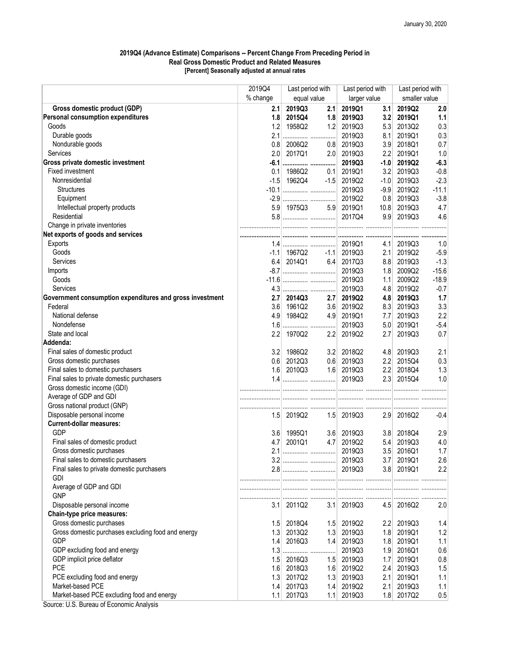## 2019Q4 (Advance Estimate) Comparisons -- Percent Change From Preceding Period in Real Gross Domestic Product and Related Measures [Percent] Seasonally adjusted at annual rates

|                                                          | 2019Q4           | Last period with |                     | Last period with |        | Last period with |         |
|----------------------------------------------------------|------------------|------------------|---------------------|------------------|--------|------------------|---------|
|                                                          | % change         | equal value      |                     | larger value     |        | smaller value    |         |
| Gross domestic product (GDP)                             | 2.1              | 2019Q3           | 2.1                 | 2019Q1           | 3.1    | 2019Q2           | 2.0     |
| <b>Personal consumption expenditures</b>                 | 1.8              | 2015Q4           | 1.8                 | 2019Q3           | 3.2    | 2019Q1           | 1.1     |
| Goods                                                    | 1.2              | 1958Q2           | 1.2                 | 2019Q3           | 5.3    | 2013Q2           | 0.3     |
| Durable goods                                            | 2.1              |                  |                     | 2019Q3           | 8.1    | 2019Q1           | 0.3     |
| Nondurable goods                                         | 0.8              | 2006Q2           | 0.8                 | 2019Q3           | 3.9    | 2018Q1           | 0.7     |
| Services                                                 | 2.0              | 2017Q1           | 2.0                 | 2019Q3           | 2.2    | 2019Q1           | 1.0     |
| Gross private domestic investment                        |                  |                  |                     | 2019Q3           | $-1.0$ | 2019Q2           | $-6.3$  |
| Fixed investment                                         | 0.1              | 1986Q2           | 0.1                 | 2019Q1           | 3.2    | 2019Q3           | $-0.8$  |
| Nonresidential                                           | $-1.5$           | 1962Q4           | $-1.5$              | 2019Q2           | $-1.0$ | 2019Q3           | $-2.3$  |
| <b>Structures</b>                                        |                  |                  |                     | 2019Q3           | $-9.9$ | 2019Q2           | $-11.1$ |
| Equipment                                                |                  |                  |                     | 2019Q2           | 0.8    | 2019Q3           | $-3.8$  |
| Intellectual property products                           |                  | 5.9 1975Q3       |                     | 5.9 2019Q1       | 10.8   | 2019Q3           | 4.7     |
| Residential                                              |                  |                  |                     |                  |        | 9.9 2019Q3       | 4.6     |
| Change in private inventories                            |                  |                  |                     |                  |        |                  |         |
| Net exports of goods and services                        |                  |                  |                     |                  |        |                  |         |
| Exports                                                  |                  |                  |                     | 2019Q1           | 4.1    | 2019Q3           | 1.0     |
| Goods                                                    |                  | -1.1 1967Q2      |                     | $-1.1$ 2019Q3    | 2.1    | 2019Q2           | $-5.9$  |
| Services                                                 | 6.4              |                  | $2014Q1$ 6.4 2017Q3 |                  | 8.8    | 2019Q3           | $-1.3$  |
| Imports                                                  |                  |                  |                     | 2019Q3           | 1.8    | 2009Q2           | $-15.6$ |
| Goods                                                    |                  |                  |                     | 2019Q3           | 1.1    | 2009Q2           | $-18.9$ |
| Services                                                 |                  |                  |                     | 2019Q3           | 4.8    | 2019Q2           | $-0.7$  |
| Government consumption expenditures and gross investment | 2.7              | 2014Q3           | 2.7                 | 2019Q2           | 4.8    | 2019Q3           | 1.7     |
| Federal                                                  | 3.6              | 1961Q2           | 3.6                 | 2019Q2           | 8.3    | 2019Q3           | 3.3     |
| National defense                                         | 4.9              | 1984Q2           |                     | 4.9 2019Q1       | 7.7    | 2019Q3           | 2.2     |
| Nondefense                                               | 1.6              |                  |                     | 2019Q3           | 5.0    | 2019Q1           | $-5.4$  |
| State and local                                          | 2.2              | 1970Q2           | 2.2                 | 2019Q2           | 2.7    | 2019Q3           | 0.7     |
| Addenda:                                                 |                  |                  |                     |                  |        |                  |         |
| Final sales of domestic product                          | 3.2              | 1986Q2           | 3.2                 | 2018Q2           | 4.8    | 2019Q3           | 2.1     |
| Gross domestic purchases                                 | 0.6              | 2012Q3           |                     | $0.6$ 2019Q3     | 2.2    | 2015Q4           | 0.3     |
| Final sales to domestic purchasers                       | 1.6              | 2010Q3           |                     | 1.6 2019Q3       | 2.2    | 2018Q4           | 1.3     |
| Final sales to private domestic purchasers               |                  |                  |                     | 2019Q3           | 2.3    | 2015Q4           | 1.0     |
| Gross domestic income (GDI)                              |                  |                  |                     |                  |        |                  |         |
| Average of GDP and GDI                                   |                  |                  |                     |                  |        |                  |         |
| Gross national product (GNP)                             |                  |                  |                     |                  |        |                  |         |
| Disposable personal income                               | 1.5 <sub>1</sub> | 2019Q2           |                     | 1.5 2019Q3       |        | 2.9 2016Q2       | $-0.4$  |
| <b>Current-dollar measures:</b>                          |                  |                  |                     |                  |        |                  |         |
| <b>GDP</b>                                               | 3.6              | 1995Q1           | 3.6                 | 2019Q3           | 3.8    | 2018Q4           | 2.9     |
| Final sales of domestic product                          | 4.7              | 2001Q1           | 4.7                 | 2019Q2           | 5.4    | 2019Q3           | 4.0     |
| Gross domestic purchases                                 |                  |                  |                     | 2019Q3           | 3.5    | 2016Q1           | 1.7     |
| Final sales to domestic purchasers                       |                  |                  |                     | 2019Q3           | 3.7    | 2019Q1           | 2.6     |
| Final sales to private domestic purchasers               |                  |                  |                     |                  |        | 3.8 2019Q1       | 2.2     |
| <b>GDI</b>                                               |                  |                  |                     |                  |        |                  |         |
| Average of GDP and GDI                                   |                  |                  |                     |                  |        |                  |         |
| <b>GNP</b>                                               |                  |                  |                     |                  |        |                  |         |
| Disposable personal income                               |                  | $3.1$ 2011Q2     |                     | $3.1$ 2019Q3     |        | 4.5 2016Q2       | 2.0     |
| Chain-type price measures:                               |                  |                  |                     |                  |        |                  |         |
| Gross domestic purchases                                 | 1.5              | 2018Q4           |                     | 1.5 2019Q2       |        | 2.2 2019Q3       | 1.4     |
| Gross domestic purchases excluding food and energy       | 1.3              | 2013Q2           | 1.3                 | 2019Q3           | 1.8    | 2019Q1           | 1.2     |
| <b>GDP</b>                                               | 1.4              | 2016Q3           |                     | 1.4 2019Q3       |        | 1.8 2019Q1       | 1.1     |
| GDP excluding food and energy                            |                  |                  |                     | 2019Q3           | 1.9    | 2016Q1           | 0.6     |
| GDP implicit price deflator                              |                  | 1.5 2016Q3       |                     | 1.5 2019Q3       | 1.7    | 2019Q1           | 0.8     |
| <b>PCE</b>                                               |                  | 1.6 2018Q3       |                     | 1.6 2019Q2       |        | 2.4 2019Q3       | 1.5     |
| PCE excluding food and energy                            | 1.3              | 2017Q2           |                     | 1.3 2019Q3       | 2.1    | 2019Q1           | 1.1     |
| Market-based PCE                                         | 1.4              | 2017Q3           | 1.4                 | 2019Q2           | 2.1    | 2019Q3           | 1.1     |
| Market-based PCE excluding food and energy               | 1.1              | 2017Q3           | 1.1                 | 2019Q3           | 1.8    | 2017Q2           | 0.5     |
| Course, LLC, Druggi, of Expression Anglusia              |                  |                  |                     |                  |        |                  |         |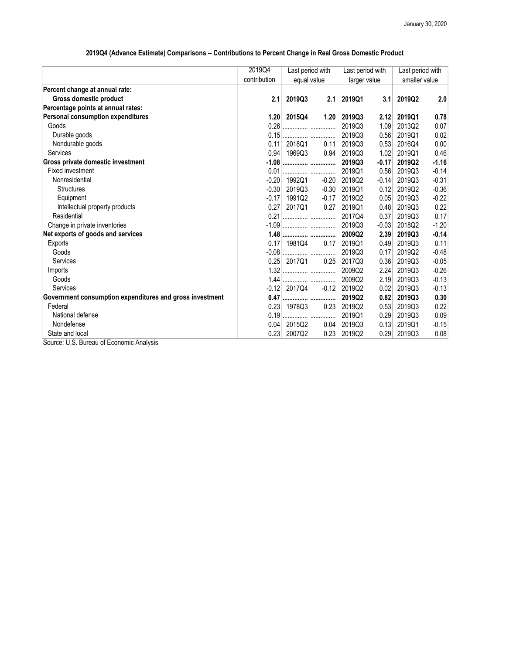## 2019Q4 (Advance Estimate) Comparisons -- Contributions to Percent Change in Real Gross Domestic Product

| 2019Q4       |             |                                                                                            | Last period with             |         | Last period with |         |
|--------------|-------------|--------------------------------------------------------------------------------------------|------------------------------|---------|------------------|---------|
| contribution | equal value |                                                                                            | larger value                 |         | smaller value    |         |
|              |             |                                                                                            |                              |         |                  |         |
| 2.1          | 2019Q3      | 2.1                                                                                        | 2019Q1                       | 3.1     | 2019Q2           | 2.0     |
|              |             |                                                                                            |                              |         |                  |         |
|              | 2015Q4      | 1.20                                                                                       | 2019Q3                       | 2.12    | 2019Q1           | 0.78    |
|              |             |                                                                                            | 2019Q3                       | 1.09    | 2013Q2           | 0.07    |
|              |             |                                                                                            | 2019Q3                       | 0.56    | 2019Q1           | 0.02    |
| 0.11         | 2018Q1      | 0.11                                                                                       | 2019Q3                       | 0.53    | 2016Q4           | 0.00    |
|              | 1969Q3      | 0.94                                                                                       | 2019Q3                       | 1.02    | 2019Q1           | 0.46    |
|              |             |                                                                                            | 2019Q3                       | $-0.17$ | 2019Q2           | $-1.16$ |
| 0.01         |             |                                                                                            | 2019Q1                       | 0.56    | 2019Q3           | $-0.14$ |
| $-0.20$      | 1992Q1      | $-0.20$                                                                                    | 2019Q2                       | $-0.14$ | 2019Q3           | $-0.31$ |
| $-0.30$      | 2019Q3      | $-0.30$                                                                                    | 2019Q1                       | 0.12    | 2019Q2           | $-0.36$ |
| $-0.17$      | 1991Q2      | $-0.17$                                                                                    | 2019Q2                       | 0.05    | 2019Q3           | $-0.22$ |
| 0.27         | 2017Q1      | 0.27                                                                                       | 2019Q1                       | 0.48    | 2019Q3           | 0.22    |
|              |             |                                                                                            | 2017Q4                       | 0.37    | 2019Q3           | 0.17    |
|              |             |                                                                                            | 2019Q3                       | $-0.03$ | 2018Q2           | $-1.20$ |
|              |             |                                                                                            | 2009Q2                       | 2.39    | 2019Q3           | $-0.14$ |
| 0.17         | 1981Q4      | 0.17                                                                                       | 2019Q1                       | 0.49    | 2019Q3           | 0.11    |
|              |             |                                                                                            | 2019Q3                       | 0.17    | 2019Q2           | $-0.48$ |
|              | 2017Q1      | 0.25                                                                                       | 2017Q3                       | 0.36    | 2019Q3           | $-0.05$ |
|              |             |                                                                                            | 2009Q2                       | 2.24    | 2019Q3           | $-0.26$ |
| 1.44         |             |                                                                                            | 2009Q2                       | 2.19    | 2019Q3           | $-0.13$ |
|              | 2017Q4      | $-0.12$                                                                                    | 2019Q2                       | 0.02    | 2019Q3           | $-0.13$ |
|              |             |                                                                                            | 2019Q2                       | 0.82    | 2019Q3           | 0.30    |
|              | 1978Q3      | 0.23                                                                                       | 2019Q2                       | 0.53    | 2019Q3           | 0.22    |
| 0.19         |             |                                                                                            | 2019Q1                       | 0.29    | 2019Q3           | 0.09    |
|              | 2015Q2      | 0.04                                                                                       | 2019Q3                       | 0.13    | 2019Q1           | $-0.15$ |
| 0.23         | 2007Q2      | 0.23                                                                                       | 2019Q2                       | 0.29    | 2019Q3           | 0.08    |
|              |             | 1.20<br>0.26<br>0.15<br>0.94<br>0.21<br>$-0.08$<br>0.25<br>$-0.12$<br>0.47<br>0.23<br>0.04 | Last period with<br>1.48<br> |         |                  |         |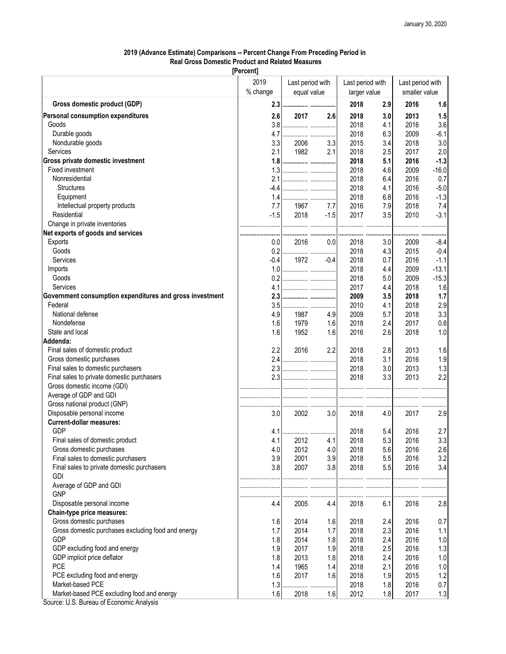## 2019 (Advance Estimate) Comparisons -- Percent Change From Preceding Period in Real Gross Domestic Product and Related Measures

[Percent]

|                                                          | 2019<br>% change | Last period with<br>equal value |          | Last period with<br>larger value |         | Last period with<br>smaller value |         |
|----------------------------------------------------------|------------------|---------------------------------|----------|----------------------------------|---------|-----------------------------------|---------|
| Gross domestic product (GDP)                             | 2.3              |                                 |          | 2018                             | 2.9     | 2016                              | 1.6     |
| Personal consumption expenditures                        | 2.6              | 2017                            | 2.6      | 2018                             | 3.0     | 2013                              | 1.5     |
| Goods                                                    | 3.8              |                                 |          | 2018                             | 4.1     | 2016                              | 3.6     |
| Durable goods                                            | 4.7              |                                 |          | 2018                             | 6.3     | 2009                              | $-6.1$  |
| Nondurable goods                                         | 3.3              | 2006                            | 3.3      | 2015                             | 3.4     | 2018                              | 3.0     |
| Services                                                 | 2.1              | 1982                            | 2.1      | 2018                             | 2.5     | 2017                              | 2.0     |
| <b>Gross private domestic investment</b>                 | 1.8              |                                 |          | 2018                             | 5.1     | 2016                              | $-1.3$  |
| Fixed investment                                         | 1.3              |                                 |          | 2018                             | 4.6     | 2009                              | $-16.0$ |
| Nonresidential                                           |                  |                                 |          | 2018                             | 6.4     | 2016                              | 0.7     |
| <b>Structures</b>                                        | $-4.4$           |                                 |          | 2018                             | 4.1     | 2016                              | $-5.0$  |
| Equipment                                                | 1.4              |                                 |          | 2018                             | 6.8     | 2016                              | $-1.3$  |
| Intellectual property products                           | 7.7              | 1967                            | 7.7      | 2016                             | 7.9     | 2018                              | 7.4     |
| Residential                                              | $-1.5$           | 2018                            | $-1.5$   | 2017                             | 3.5     | 2010                              | $-3.1$  |
| Change in private inventories                            |                  |                                 |          |                                  |         |                                   |         |
| Net exports of goods and services                        |                  |                                 |          |                                  |         |                                   |         |
| Exports                                                  | 0.0              | 2016                            | 0.0      | 2018                             | <br>3.0 | 2009                              | -8.4    |
| Goods                                                    | 0.2              |                                 |          | 2018                             | 4.3     | 2015                              | $-0.4$  |
| Services                                                 | $-0.4$           | 1972                            | $-0.4$   | 2018                             | 0.7     | 2016                              | $-1.1$  |
| Imports                                                  | 1.0              |                                 |          | 2018                             | 4.4     | 2009                              | $-13.1$ |
| Goods                                                    | 0.2              |                                 |          | 2018                             | 5.0     | 2009                              | $-15.3$ |
| Services                                                 | 4.1              |                                 |          | 2017                             | 4.4     | 2018                              | 1.6     |
| Government consumption expenditures and gross investment |                  |                                 |          | 2009                             | 3.5     | 2018                              | 1.7     |
| Federal                                                  | 3.5              |                                 |          | 2010                             | 4.1     | 2018                              | 2.9     |
| National defense                                         | 4.9              | 1987                            | 4.9      | 2009                             | 5.7     | 2018                              | 3.3     |
| Nondefense                                               | 1.6              | 1979                            | 1.6      | 2018                             | 2.4     | 2017                              | 0.8     |
| State and local                                          | 1.6              | 1952                            | 1.6      | 2016                             | 2.6     | 2018                              | 1.0     |
| <b>Addenda:</b>                                          |                  |                                 |          |                                  |         |                                   |         |
| Final sales of domestic product                          | 2.2              | 2016                            | 2.2      | 2018                             | 2.8     | 2013                              | 1.6     |
| Gross domestic purchases                                 | 2.4              |                                 |          | 2018                             | 3.1     | 2016                              | 1.9     |
| Final sales to domestic purchasers                       | 2.3              |                                 |          | 2018                             | 3.0     | 2013                              | 1.3     |
| Final sales to private domestic purchasers               | 2.3              |                                 |          | 2018                             | 3.3     | 2013                              | 2.2     |
| Gross domestic income (GDI)                              |                  |                                 |          |                                  |         |                                   |         |
| Average of GDP and GDI                                   |                  |                                 |          |                                  |         |                                   |         |
| Gross national product (GNP)                             |                  |                                 |          |                                  |         |                                   |         |
| Disposable personal income                               | 3.0              | 2002                            | 3.0      | <br>2018                         | 4.0     | 2017                              | 2.9     |
| <b>Current-dollar measures:</b>                          |                  |                                 |          |                                  |         |                                   |         |
| <b>GDP</b>                                               | 4.1              |                                 |          | 2018                             | 5.4     | 2016                              | 2.7     |
| Final sales of domestic product                          | 4.1              | <br>2012                        | 4.1      | 2018                             | 5.3     | 2016                              | 3.3     |
| Gross domestic purchases                                 | 4.0              | 2012                            | 4.0      | 2018                             | 5.6     | 2016                              | 2.6     |
| Final sales to domestic purchasers                       | 3.9              | 2001                            | 3.9      | 2018                             | 5.5     | 2016                              | 3.2     |
| Final sales to private domestic purchasers               | 3.8              | 2007                            | 3.8      | 2018                             | 5.5     | 2016                              | 3.4     |
| <b>GDI</b>                                               |                  |                                 |          |                                  |         |                                   |         |
| Average of GDP and GDI                                   |                  |                                 |          |                                  |         |                                   |         |
| <b>GNP</b>                                               |                  |                                 |          |                                  |         |                                   |         |
| Disposable personal income                               | 4.4              | 2005                            | .<br>4.4 | 2018                             | 6.1     | 2016                              | 2.8     |
| Chain-type price measures:                               |                  |                                 |          |                                  |         |                                   |         |
| Gross domestic purchases                                 | 1.6              | 2014                            | 1.6      | 2018                             | 2.4     | 2016                              | 0.7     |
| Gross domestic purchases excluding food and energy       | 1.7              | 2014                            | 1.7      | 2018                             | 2.3     | 2016                              | 1.1     |
| <b>GDP</b>                                               | 1.8              | 2014                            | 1.8      | 2018                             | 2.4     | 2016                              | 1.0     |
| GDP excluding food and energy                            | 1.9              | 2017                            | 1.9      | 2018                             | 2.5     | 2016                              | 1.3     |
| GDP implicit price deflator                              | 1.8              | 2013                            | 1.8      | 2018                             | 2.4     | 2016                              | $1.0$   |
| <b>PCE</b>                                               | 1.4              | 1965                            | 1.4      | 2018                             | 2.1     | 2016                              | 1.0     |
| PCE excluding food and energy                            | 1.6              | 2017                            | 1.6      | 2018                             | 1.9     | 2015                              | 1.2     |
| Market-based PCE                                         | 1.3              |                                 |          | 2018                             | 1.8     | 2016                              | 0.7     |
|                                                          |                  |                                 |          |                                  |         |                                   |         |
| Market-based PCE excluding food and energy               | 1.6              | 2018                            | 1.6      | 2012                             | 1.8     | 2017                              | 1.3     |